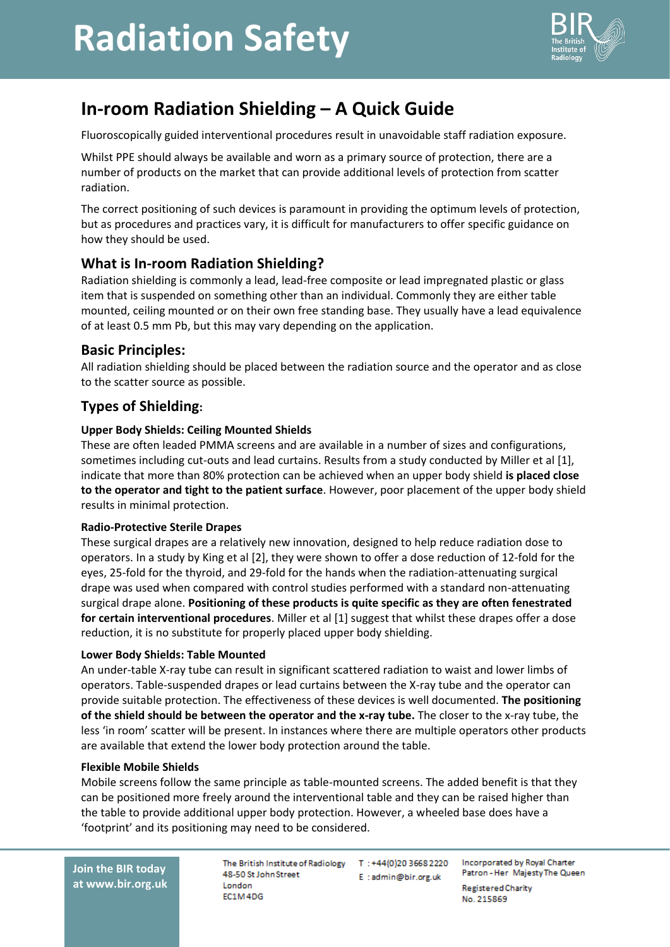# **Radiation Safety**



# **In-room Radiation Shielding – A Quick Guide**

Fluoroscopically guided interventional procedures result in unavoidable staff radiation exposure.

Whilst PPE should always be available and worn as a primary source of protection, there are a number of products on the market that can provide additional levels of protection from scatter radiation.

The correct positioning of such devices is paramount in providing the optimum levels of protection, but as procedures and practices vary, it is difficult for manufacturers to offer specific guidance on how they should be used.

# **What is In-room Radiation Shielding?**

Radiation shielding is commonly a lead, lead-free composite or lead impregnated plastic or glass item that is suspended on something other than an individual. Commonly they are either table mounted, ceiling mounted or on their own free standing base. They usually have a lead equivalence of at least 0.5 mm Pb, but this may vary depending on the application.

### **Basic Principles:**

All radiation shielding should be placed between the radiation source and the operator and as close to the scatter source as possible.

# **Types of Shielding:**

#### **Upper Body Shields: Ceiling Mounted Shields**

These are often leaded PMMA screens and are available in a number of sizes and configurations, sometimes including cut-outs and lead curtains. Results from a study conducted by Miller et al [1], indicate that more than 80% protection can be achieved when an upper body shield **is placed close to the operator and tight to the patient surface**. However, poor placement of the upper body shield results in minimal protection.

#### **Radio-Protective Sterile Drapes**

These surgical drapes are a relatively new innovation, designed to help reduce radiation dose to operators. In a study by King et al [2], they were shown to offer a dose reduction of 12-fold for the eyes, 25-fold for the thyroid, and 29-fold for the hands when the radiation-attenuating surgical drape was used when compared with control studies performed with a standard non-attenuating surgical drape alone. **Positioning of these products is quite specific as they are often fenestrated for certain interventional procedures**. Miller et al [1] suggest that whilst these drapes offer a dose reduction, it is no substitute for properly placed upper body shielding.

#### **Lower Body Shields: Table Mounted**

An under-table X-ray tube can result in significant scattered radiation to waist and lower limbs of operators. Table-suspended drapes or lead curtains between the X-ray tube and the operator can provide suitable protection. The effectiveness of these devices is well documented. **The positioning of the shield should be between the operator and the x-ray tube.** The closer to the x-ray tube, the less 'in room' scatter will be present. In instances where there are multiple operators other products are available that extend the lower body protection around the table.

#### **Flexible Mobile Shields**

Mobile screens follow the same principle as table-mounted screens. The added benefit is that they can be positioned more freely around the interventional table and they can be raised higher than the table to provide additional upper body protection. However, a wheeled base does have a 'footprint' and its positioning may need to be considered.

The British Institute of Radiology T: +44(0)20 3668 2220 48-50 St John Street London FC1M4DG

E:admin@bir.org.uk

Incorporated by Royal Charter Patron - Her Majesty The Queen **Registered Charity** No. 215869